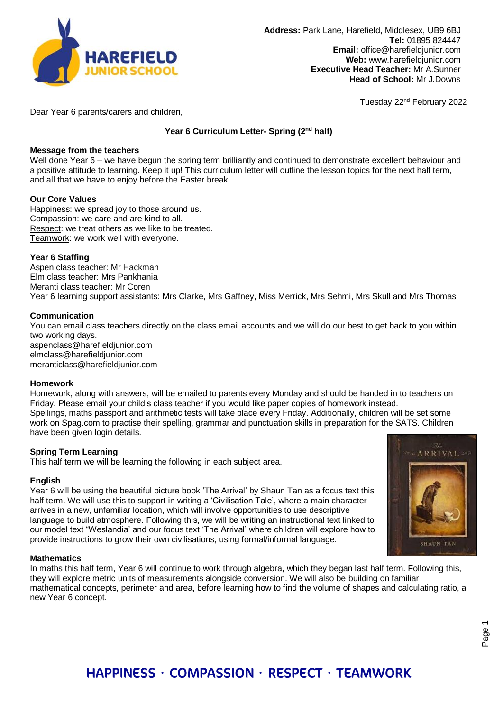

Tuesday 22nd February 2022

Dear Year 6 parents/carers and children,

# **Year 6 Curriculum Letter- Spring (2nd half)**

## **Message from the teachers**

Well done Year 6 – we have begun the spring term brilliantly and continued to demonstrate excellent behaviour and a positive attitude to learning. Keep it up! This curriculum letter will outline the lesson topics for the next half term, and all that we have to enjoy before the Easter break.

## **Our Core Values**

Happiness: we spread joy to those around us. Compassion: we care and are kind to all. Respect: we treat others as we like to be treated. Teamwork: we work well with everyone.

## **Year 6 Staffing**

Aspen class teacher: Mr Hackman Elm class teacher: Mrs Pankhania Meranti class teacher: Mr Coren Year 6 learning support assistants: Mrs Clarke, Mrs Gaffney, Miss Merrick, Mrs Sehmi, Mrs Skull and Mrs Thomas

## **Communication**

You can email class teachers directly on the class email accounts and we will do our best to get back to you within two working days. aspenclass@harefieldjunior.com elmclass@harefieldjunior.com

meranticlass@harefieldjunior.com

#### **Homework**

Homework, along with answers, will be emailed to parents every Monday and should be handed in to teachers on Friday. Please email your child's class teacher if you would like paper copies of homework instead. Spellings, maths passport and arithmetic tests will take place every Friday. Additionally, children will be set some work on Spag.com to practise their spelling, grammar and punctuation skills in preparation for the SATS. Children have been given login details.

# **Spring Term Learning**

This half term we will be learning the following in each subject area.

#### **English**

Year 6 will be using the beautiful picture book 'The Arrival' by Shaun Tan as a focus text this half term. We will use this to support in writing a 'Civilisation Tale', where a main character arrives in a new, unfamiliar location, which will involve opportunities to use descriptive language to build atmosphere. Following this, we will be writing an instructional text linked to our model text "Weslandia' and our focus text 'The Arrival' where children will explore how to provide instructions to grow their own civilisations, using formal/informal language.



In maths this half term, Year 6 will continue to work through algebra, which they began last half term. Following this, they will explore metric units of measurements alongside conversion. We will also be building on familiar mathematical concepts, perimeter and area, before learning how to find the volume of shapes and calculating ratio, a new Year 6 concept.